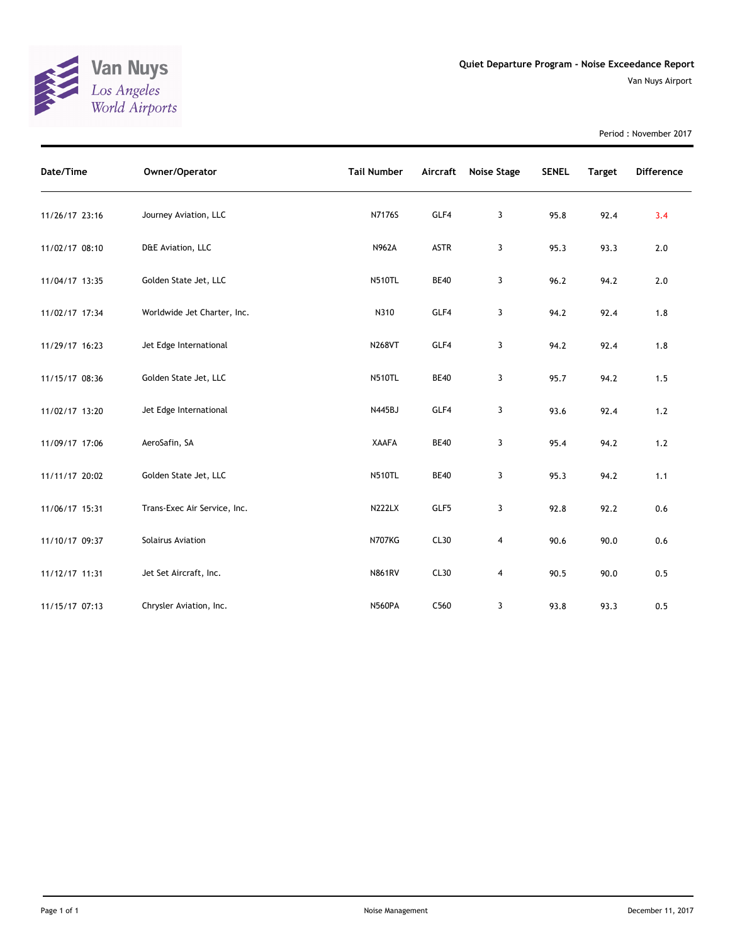

Period : November 2017

| Date/Time      | Owner/Operator               | <b>Tail Number</b> | Aircraft    | Noise Stage    | <b>SENEL</b> | <b>Target</b> | <b>Difference</b> |
|----------------|------------------------------|--------------------|-------------|----------------|--------------|---------------|-------------------|
| 11/26/17 23:16 | Journey Aviation, LLC        | N7176S             | GLF4        | 3              | 95.8         | 92.4          | 3.4               |
| 11/02/17 08:10 | D&E Aviation, LLC            | <b>N962A</b>       | <b>ASTR</b> | 3              | 95.3         | 93.3          | 2.0               |
| 11/04/17 13:35 | Golden State Jet, LLC        | <b>N510TL</b>      | <b>BE40</b> | 3              | 96.2         | 94.2          | 2.0               |
| 11/02/17 17:34 | Worldwide Jet Charter, Inc.  | N310               | GLF4        | 3              | 94.2         | 92.4          | 1.8               |
| 11/29/17 16:23 | Jet Edge International       | <b>N268VT</b>      | GLF4        | 3              | 94.2         | 92.4          | 1.8               |
| 11/15/17 08:36 | Golden State Jet, LLC        | <b>N510TL</b>      | <b>BE40</b> | 3              | 95.7         | 94.2          | 1.5               |
| 11/02/17 13:20 | Jet Edge International       | N445BJ             | GLF4        | 3              | 93.6         | 92.4          | $1.2$             |
| 11/09/17 17:06 | AeroSafin, SA                | <b>XAAFA</b>       | <b>BE40</b> | 3              | 95.4         | 94.2          | $1.2$             |
| 11/11/17 20:02 | Golden State Jet, LLC        | <b>N510TL</b>      | <b>BE40</b> | 3              | 95.3         | 94.2          | 1.1               |
| 11/06/17 15:31 | Trans-Exec Air Service, Inc. | <b>N222LX</b>      | GLF5        | 3              | 92.8         | 92.2          | 0.6               |
| 11/10/17 09:37 | Solairus Aviation            | <b>N707KG</b>      | CL30        | $\overline{4}$ | 90.6         | 90.0          | 0.6               |
| 11/12/17 11:31 | Jet Set Aircraft, Inc.       | <b>N861RV</b>      | CL30        | 4              | 90.5         | 90.0          | 0.5               |
| 11/15/17 07:13 | Chrysler Aviation, Inc.      | <b>N560PA</b>      | C560        | 3              | 93.8         | 93.3          | 0.5               |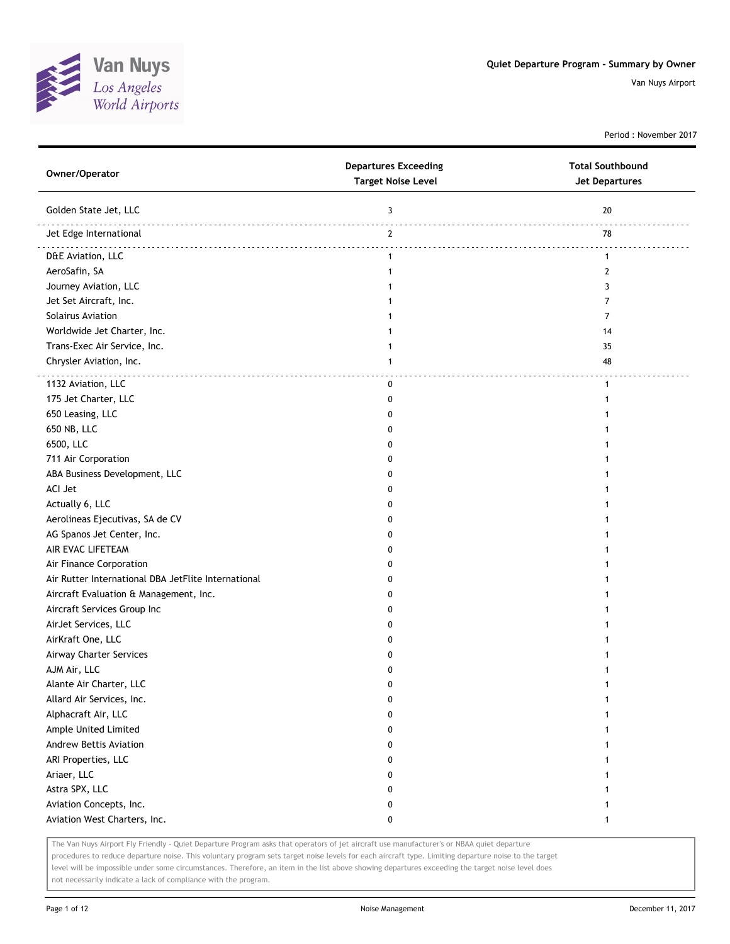

Period : November 2017

| Owner/Operator                                      | <b>Departures Exceeding</b><br><b>Target Noise Level</b> | <b>Total Southbound</b><br>Jet Departures |
|-----------------------------------------------------|----------------------------------------------------------|-------------------------------------------|
| Golden State Jet, LLC                               | 3                                                        | 20                                        |
| Jet Edge International                              | $\mathbf{2}$                                             | 78                                        |
| D&E Aviation, LLC                                   | $\mathbf{1}$                                             | $\mathbf{1}$                              |
| AeroSafin, SA                                       | 1                                                        | 2                                         |
| Journey Aviation, LLC                               | 1                                                        | 3                                         |
| Jet Set Aircraft, Inc.                              | 1                                                        | 7                                         |
| Solairus Aviation                                   | 1                                                        | 7                                         |
| Worldwide Jet Charter, Inc.                         | 1                                                        | 14                                        |
| Trans-Exec Air Service, Inc.                        | 1                                                        | 35                                        |
| Chrysler Aviation, Inc.                             | 1                                                        | 48                                        |
| 1132 Aviation, LLC                                  | 0                                                        | 1                                         |
| 175 Jet Charter, LLC                                | 0                                                        |                                           |
| 650 Leasing, LLC                                    | 0                                                        |                                           |
| 650 NB, LLC                                         | 0                                                        |                                           |
| 6500, LLC                                           | 0                                                        |                                           |
| 711 Air Corporation                                 | 0                                                        |                                           |
| ABA Business Development, LLC                       | 0                                                        |                                           |
| ACI Jet                                             | 0                                                        |                                           |
| Actually 6, LLC                                     | 0                                                        |                                           |
| Aerolineas Ejecutivas, SA de CV                     | 0                                                        |                                           |
| AG Spanos Jet Center, Inc.                          | 0                                                        |                                           |
| AIR EVAC LIFETEAM                                   | <sup>0</sup>                                             |                                           |
| Air Finance Corporation                             | 0                                                        |                                           |
| Air Rutter International DBA JetFlite International | 0                                                        |                                           |
| Aircraft Evaluation & Management, Inc.              | 0                                                        |                                           |
| Aircraft Services Group Inc                         | 0                                                        |                                           |
| AirJet Services, LLC                                | 0                                                        |                                           |
| AirKraft One, LLC                                   | 0                                                        |                                           |
| Airway Charter Services                             | 0                                                        |                                           |
| AJM Air, LLC                                        | 0                                                        |                                           |
| Alante Air Charter, LLC                             | $\Omega$                                                 |                                           |
| Allard Air Services, Inc.                           | 0                                                        | 1                                         |
| Alphacraft Air, LLC                                 | 0                                                        |                                           |
| Ample United Limited                                | 0                                                        |                                           |
| Andrew Bettis Aviation                              | 0                                                        |                                           |
| ARI Properties, LLC                                 | 0                                                        |                                           |
| Ariaer, LLC                                         | 0                                                        |                                           |
| Astra SPX, LLC                                      | 0                                                        |                                           |
| Aviation Concepts, Inc.                             | 0                                                        |                                           |
| Aviation West Charters, Inc.                        | 0                                                        | 1                                         |

The Van Nuys Airport Fly Friendly - Quiet Departure Program asks that operators of jet aircraft use manufacturer's or NBAA quiet departure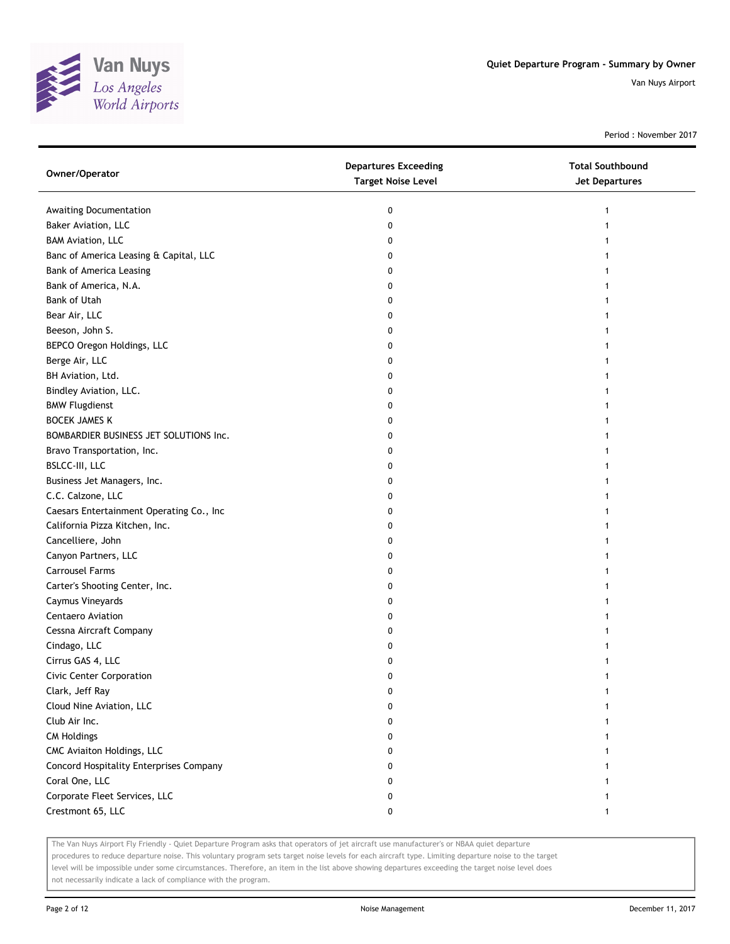

Period : November 2017

| Owner/Operator                           | <b>Departures Exceeding</b><br><b>Target Noise Level</b> | <b>Total Southbound</b><br><b>Jet Departures</b> |
|------------------------------------------|----------------------------------------------------------|--------------------------------------------------|
| Awaiting Documentation                   | 0                                                        |                                                  |
| Baker Aviation, LLC                      | 0                                                        |                                                  |
| <b>BAM Aviation, LLC</b>                 | 0                                                        |                                                  |
| Banc of America Leasing & Capital, LLC   | 0                                                        |                                                  |
| Bank of America Leasing                  | 0                                                        |                                                  |
| Bank of America, N.A.                    | 0                                                        |                                                  |
| <b>Bank of Utah</b>                      | 0                                                        |                                                  |
| Bear Air, LLC                            | 0                                                        |                                                  |
| Beeson, John S.                          | 0                                                        |                                                  |
| BEPCO Oregon Holdings, LLC               | 0                                                        |                                                  |
| Berge Air, LLC                           | 0                                                        |                                                  |
| BH Aviation, Ltd.                        | 0                                                        |                                                  |
| Bindley Aviation, LLC.                   | 0                                                        |                                                  |
| <b>BMW Flugdienst</b>                    | 0                                                        |                                                  |
| <b>BOCEK JAMES K</b>                     | 0                                                        |                                                  |
| BOMBARDIER BUSINESS JET SOLUTIONS Inc.   | 0                                                        |                                                  |
| Bravo Transportation, Inc.               | 0                                                        |                                                  |
| BSLCC-III, LLC                           | 0                                                        |                                                  |
| Business Jet Managers, Inc.              | 0                                                        |                                                  |
| C.C. Calzone, LLC                        | 0                                                        |                                                  |
| Caesars Entertainment Operating Co., Inc | 0                                                        |                                                  |
| California Pizza Kitchen, Inc.           | 0                                                        |                                                  |
| Cancelliere, John                        | 0                                                        |                                                  |
| Canyon Partners, LLC                     | 0                                                        |                                                  |
| <b>Carrousel Farms</b>                   | 0                                                        |                                                  |
| Carter's Shooting Center, Inc.           | 0                                                        |                                                  |
| Caymus Vineyards                         | 0                                                        |                                                  |
| Centaero Aviation                        | 0                                                        |                                                  |
| Cessna Aircraft Company                  | 0                                                        |                                                  |
| Cindago, LLC                             | 0                                                        |                                                  |
| Cirrus GAS 4, LLC                        | 0                                                        |                                                  |
| Civic Center Corporation                 | 0                                                        |                                                  |
| Clark, Jeff Ray                          | 0                                                        |                                                  |
| Cloud Nine Aviation, LLC                 | 0                                                        |                                                  |
| Club Air Inc.                            | 0                                                        |                                                  |
| <b>CM Holdings</b>                       | 0                                                        |                                                  |
| CMC Aviaiton Holdings, LLC               | 0                                                        |                                                  |
| Concord Hospitality Enterprises Company  | 0                                                        |                                                  |
| Coral One, LLC                           | 0                                                        |                                                  |
| Corporate Fleet Services, LLC            | 0                                                        |                                                  |
| Crestmont 65, LLC                        | 0                                                        | 1                                                |

The Van Nuys Airport Fly Friendly - Quiet Departure Program asks that operators of jet aircraft use manufacturer's or NBAA quiet departure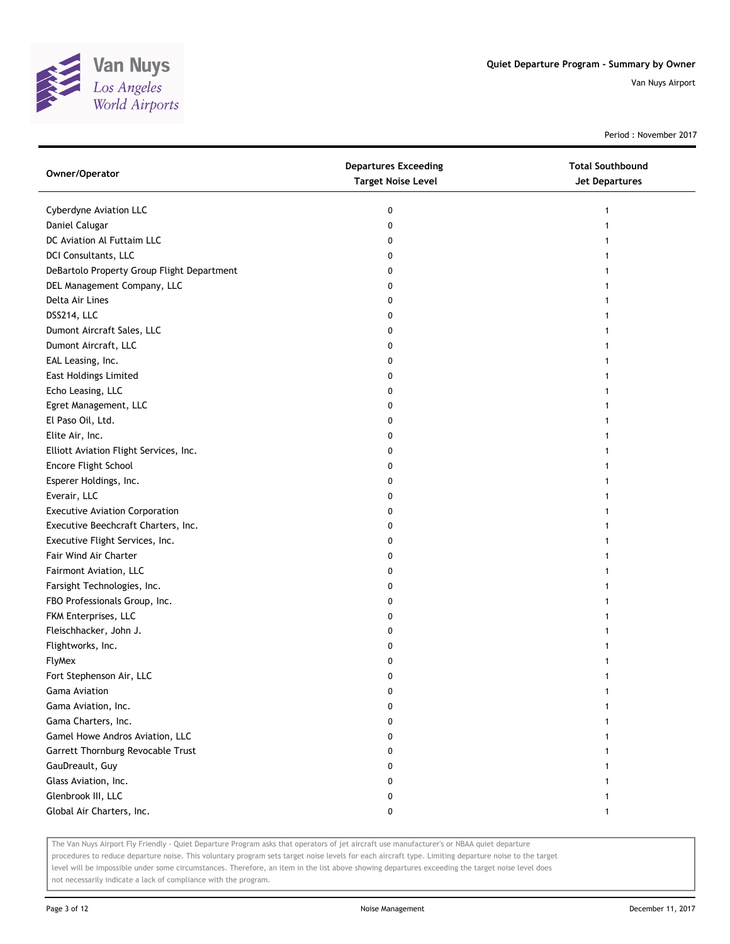

Period : November 2017

| Owner/Operator                             | <b>Departures Exceeding</b><br><b>Target Noise Level</b> | <b>Total Southbound</b><br><b>Jet Departures</b> |
|--------------------------------------------|----------------------------------------------------------|--------------------------------------------------|
| Cyberdyne Aviation LLC                     | 0                                                        | 1                                                |
| Daniel Calugar                             | 0                                                        |                                                  |
| DC Aviation Al Futtaim LLC                 | 0                                                        |                                                  |
| DCI Consultants, LLC                       | 0                                                        |                                                  |
| DeBartolo Property Group Flight Department | 0                                                        |                                                  |
| DEL Management Company, LLC                | 0                                                        |                                                  |
| Delta Air Lines                            | 0                                                        |                                                  |
| DSS214, LLC                                | 0                                                        |                                                  |
| Dumont Aircraft Sales, LLC                 | 0                                                        | 1                                                |
| Dumont Aircraft, LLC                       | 0                                                        |                                                  |
| EAL Leasing, Inc.                          | 0                                                        |                                                  |
| <b>East Holdings Limited</b>               | 0                                                        |                                                  |
| Echo Leasing, LLC                          | 0                                                        |                                                  |
| Egret Management, LLC                      | 0                                                        |                                                  |
| El Paso Oil, Ltd.                          | 0                                                        |                                                  |
| Elite Air, Inc.                            | 0                                                        |                                                  |
| Elliott Aviation Flight Services, Inc.     | 0                                                        | 1                                                |
| Encore Flight School                       | 0                                                        |                                                  |
| Esperer Holdings, Inc.                     | 0                                                        | 1                                                |
| Everair, LLC                               | 0                                                        |                                                  |
| <b>Executive Aviation Corporation</b>      | 0                                                        |                                                  |
| Executive Beechcraft Charters, Inc.        | 0                                                        |                                                  |
| Executive Flight Services, Inc.            | 0                                                        |                                                  |
| Fair Wind Air Charter                      | 0                                                        | 1                                                |
| Fairmont Aviation, LLC                     | 0                                                        |                                                  |
| Farsight Technologies, Inc.                | 0                                                        | 1                                                |
| FBO Professionals Group, Inc.              | 0                                                        | 1                                                |
| FKM Enterprises, LLC                       | 0                                                        |                                                  |
| Fleischhacker, John J.                     | 0                                                        | 1                                                |
| Flightworks, Inc.                          | 0                                                        |                                                  |
| FlyMex                                     | 0                                                        |                                                  |
| Fort Stephenson Air, LLC                   | 0                                                        |                                                  |
| <b>Gama Aviation</b>                       | 0                                                        |                                                  |
| Gama Aviation, Inc.                        | 0                                                        |                                                  |
| Gama Charters, Inc.                        | 0                                                        |                                                  |
| Gamel Howe Andros Aviation, LLC            | 0                                                        |                                                  |
| Garrett Thornburg Revocable Trust          | 0                                                        |                                                  |
| GauDreault, Guy                            | 0                                                        |                                                  |
| Glass Aviation, Inc.                       | 0                                                        |                                                  |
| Glenbrook III, LLC                         | 0                                                        |                                                  |
| Global Air Charters, Inc.                  | 0                                                        | 1                                                |

The Van Nuys Airport Fly Friendly - Quiet Departure Program asks that operators of jet aircraft use manufacturer's or NBAA quiet departure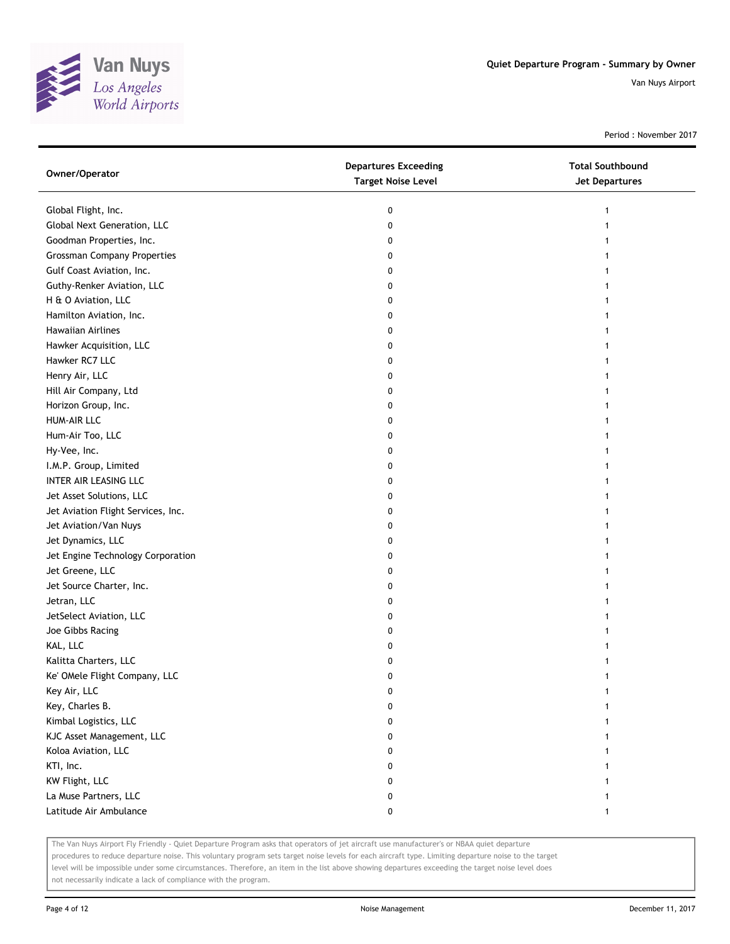

Period : November 2017

| Global Flight, Inc.<br>0<br>1<br>Global Next Generation, LLC<br>0<br>Goodman Properties, Inc.<br>0<br>1<br><b>Grossman Company Properties</b><br>0<br>Gulf Coast Aviation, Inc.<br>0<br>Guthy-Renker Aviation, LLC<br>0<br>H & O Aviation, LLC<br>0<br>Hamilton Aviation, Inc.<br>0<br>Hawaiian Airlines<br>0<br>Hawker Acquisition, LLC<br>0<br>Hawker RC7 LLC<br>0<br>Henry Air, LLC<br>0<br>Hill Air Company, Ltd<br>0<br>1<br>Horizon Group, Inc.<br>0<br><b>HUM-AIR LLC</b><br>0<br>Hum-Air Too, LLC<br>0<br>Hy-Vee, Inc.<br>0<br>I.M.P. Group, Limited<br>0<br>INTER AIR LEASING LLC<br>0<br>Jet Asset Solutions, LLC<br>0<br>Jet Aviation Flight Services, Inc.<br>0<br>Jet Aviation/Van Nuys<br>0<br>Jet Dynamics, LLC<br>0<br>1<br>Jet Engine Technology Corporation<br>0<br>1<br>Jet Greene, LLC<br>0<br>Jet Source Charter, Inc.<br>0<br>Jetran, LLC<br>0<br>JetSelect Aviation, LLC<br>0<br>Joe Gibbs Racing<br>0<br>KAL, LLC<br>0<br>Kalitta Charters, LLC<br>0<br>Ke' OMele Flight Company, LLC<br>0<br>Key Air, LLC<br>0<br>$\mathbf{1}$<br>Key, Charles B.<br>0<br>1 |
|--------------------------------------------------------------------------------------------------------------------------------------------------------------------------------------------------------------------------------------------------------------------------------------------------------------------------------------------------------------------------------------------------------------------------------------------------------------------------------------------------------------------------------------------------------------------------------------------------------------------------------------------------------------------------------------------------------------------------------------------------------------------------------------------------------------------------------------------------------------------------------------------------------------------------------------------------------------------------------------------------------------------------------------------------------------------------------------|
|                                                                                                                                                                                                                                                                                                                                                                                                                                                                                                                                                                                                                                                                                                                                                                                                                                                                                                                                                                                                                                                                                      |
|                                                                                                                                                                                                                                                                                                                                                                                                                                                                                                                                                                                                                                                                                                                                                                                                                                                                                                                                                                                                                                                                                      |
|                                                                                                                                                                                                                                                                                                                                                                                                                                                                                                                                                                                                                                                                                                                                                                                                                                                                                                                                                                                                                                                                                      |
|                                                                                                                                                                                                                                                                                                                                                                                                                                                                                                                                                                                                                                                                                                                                                                                                                                                                                                                                                                                                                                                                                      |
|                                                                                                                                                                                                                                                                                                                                                                                                                                                                                                                                                                                                                                                                                                                                                                                                                                                                                                                                                                                                                                                                                      |
|                                                                                                                                                                                                                                                                                                                                                                                                                                                                                                                                                                                                                                                                                                                                                                                                                                                                                                                                                                                                                                                                                      |
|                                                                                                                                                                                                                                                                                                                                                                                                                                                                                                                                                                                                                                                                                                                                                                                                                                                                                                                                                                                                                                                                                      |
|                                                                                                                                                                                                                                                                                                                                                                                                                                                                                                                                                                                                                                                                                                                                                                                                                                                                                                                                                                                                                                                                                      |
|                                                                                                                                                                                                                                                                                                                                                                                                                                                                                                                                                                                                                                                                                                                                                                                                                                                                                                                                                                                                                                                                                      |
|                                                                                                                                                                                                                                                                                                                                                                                                                                                                                                                                                                                                                                                                                                                                                                                                                                                                                                                                                                                                                                                                                      |
|                                                                                                                                                                                                                                                                                                                                                                                                                                                                                                                                                                                                                                                                                                                                                                                                                                                                                                                                                                                                                                                                                      |
|                                                                                                                                                                                                                                                                                                                                                                                                                                                                                                                                                                                                                                                                                                                                                                                                                                                                                                                                                                                                                                                                                      |
|                                                                                                                                                                                                                                                                                                                                                                                                                                                                                                                                                                                                                                                                                                                                                                                                                                                                                                                                                                                                                                                                                      |
|                                                                                                                                                                                                                                                                                                                                                                                                                                                                                                                                                                                                                                                                                                                                                                                                                                                                                                                                                                                                                                                                                      |
|                                                                                                                                                                                                                                                                                                                                                                                                                                                                                                                                                                                                                                                                                                                                                                                                                                                                                                                                                                                                                                                                                      |
|                                                                                                                                                                                                                                                                                                                                                                                                                                                                                                                                                                                                                                                                                                                                                                                                                                                                                                                                                                                                                                                                                      |
|                                                                                                                                                                                                                                                                                                                                                                                                                                                                                                                                                                                                                                                                                                                                                                                                                                                                                                                                                                                                                                                                                      |
|                                                                                                                                                                                                                                                                                                                                                                                                                                                                                                                                                                                                                                                                                                                                                                                                                                                                                                                                                                                                                                                                                      |
|                                                                                                                                                                                                                                                                                                                                                                                                                                                                                                                                                                                                                                                                                                                                                                                                                                                                                                                                                                                                                                                                                      |
|                                                                                                                                                                                                                                                                                                                                                                                                                                                                                                                                                                                                                                                                                                                                                                                                                                                                                                                                                                                                                                                                                      |
|                                                                                                                                                                                                                                                                                                                                                                                                                                                                                                                                                                                                                                                                                                                                                                                                                                                                                                                                                                                                                                                                                      |
|                                                                                                                                                                                                                                                                                                                                                                                                                                                                                                                                                                                                                                                                                                                                                                                                                                                                                                                                                                                                                                                                                      |
|                                                                                                                                                                                                                                                                                                                                                                                                                                                                                                                                                                                                                                                                                                                                                                                                                                                                                                                                                                                                                                                                                      |
|                                                                                                                                                                                                                                                                                                                                                                                                                                                                                                                                                                                                                                                                                                                                                                                                                                                                                                                                                                                                                                                                                      |
|                                                                                                                                                                                                                                                                                                                                                                                                                                                                                                                                                                                                                                                                                                                                                                                                                                                                                                                                                                                                                                                                                      |
|                                                                                                                                                                                                                                                                                                                                                                                                                                                                                                                                                                                                                                                                                                                                                                                                                                                                                                                                                                                                                                                                                      |
|                                                                                                                                                                                                                                                                                                                                                                                                                                                                                                                                                                                                                                                                                                                                                                                                                                                                                                                                                                                                                                                                                      |
|                                                                                                                                                                                                                                                                                                                                                                                                                                                                                                                                                                                                                                                                                                                                                                                                                                                                                                                                                                                                                                                                                      |
|                                                                                                                                                                                                                                                                                                                                                                                                                                                                                                                                                                                                                                                                                                                                                                                                                                                                                                                                                                                                                                                                                      |
|                                                                                                                                                                                                                                                                                                                                                                                                                                                                                                                                                                                                                                                                                                                                                                                                                                                                                                                                                                                                                                                                                      |
|                                                                                                                                                                                                                                                                                                                                                                                                                                                                                                                                                                                                                                                                                                                                                                                                                                                                                                                                                                                                                                                                                      |
|                                                                                                                                                                                                                                                                                                                                                                                                                                                                                                                                                                                                                                                                                                                                                                                                                                                                                                                                                                                                                                                                                      |
|                                                                                                                                                                                                                                                                                                                                                                                                                                                                                                                                                                                                                                                                                                                                                                                                                                                                                                                                                                                                                                                                                      |
|                                                                                                                                                                                                                                                                                                                                                                                                                                                                                                                                                                                                                                                                                                                                                                                                                                                                                                                                                                                                                                                                                      |
| Kimbal Logistics, LLC<br>0                                                                                                                                                                                                                                                                                                                                                                                                                                                                                                                                                                                                                                                                                                                                                                                                                                                                                                                                                                                                                                                           |
| KJC Asset Management, LLC<br>0                                                                                                                                                                                                                                                                                                                                                                                                                                                                                                                                                                                                                                                                                                                                                                                                                                                                                                                                                                                                                                                       |
| Koloa Aviation, LLC<br>0                                                                                                                                                                                                                                                                                                                                                                                                                                                                                                                                                                                                                                                                                                                                                                                                                                                                                                                                                                                                                                                             |
| KTI, Inc.<br>0                                                                                                                                                                                                                                                                                                                                                                                                                                                                                                                                                                                                                                                                                                                                                                                                                                                                                                                                                                                                                                                                       |
| KW Flight, LLC<br>0                                                                                                                                                                                                                                                                                                                                                                                                                                                                                                                                                                                                                                                                                                                                                                                                                                                                                                                                                                                                                                                                  |
| La Muse Partners, LLC<br>0                                                                                                                                                                                                                                                                                                                                                                                                                                                                                                                                                                                                                                                                                                                                                                                                                                                                                                                                                                                                                                                           |
| Latitude Air Ambulance<br>0<br>1                                                                                                                                                                                                                                                                                                                                                                                                                                                                                                                                                                                                                                                                                                                                                                                                                                                                                                                                                                                                                                                     |

The Van Nuys Airport Fly Friendly - Quiet Departure Program asks that operators of jet aircraft use manufacturer's or NBAA quiet departure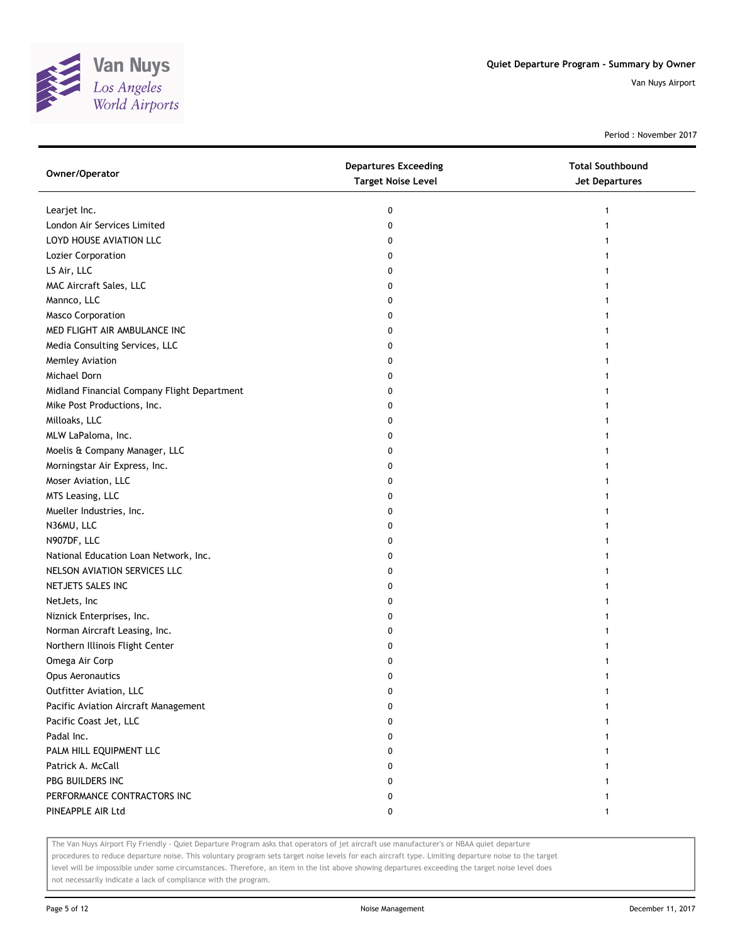

Period : November 2017

| Owner/Operator                              | <b>Departures Exceeding</b><br><b>Target Noise Level</b> | <b>Total Southbound</b><br><b>Jet Departures</b> |
|---------------------------------------------|----------------------------------------------------------|--------------------------------------------------|
| Learjet Inc.                                | 0                                                        | 1                                                |
| London Air Services Limited                 | 0                                                        |                                                  |
| LOYD HOUSE AVIATION LLC                     | 0                                                        |                                                  |
| Lozier Corporation                          | 0                                                        |                                                  |
| LS Air, LLC                                 | 0                                                        |                                                  |
| MAC Aircraft Sales, LLC                     | 0                                                        |                                                  |
| Mannco, LLC                                 | 0                                                        |                                                  |
| <b>Masco Corporation</b>                    | 0                                                        |                                                  |
| MED FLIGHT AIR AMBULANCE INC                | 0                                                        |                                                  |
| Media Consulting Services, LLC              | 0                                                        |                                                  |
| Memley Aviation                             | 0                                                        |                                                  |
| Michael Dorn                                | 0                                                        |                                                  |
| Midland Financial Company Flight Department | 0                                                        | 1                                                |
| Mike Post Productions, Inc.                 | 0                                                        | 1                                                |
| Milloaks, LLC                               | 0                                                        | 1                                                |
| MLW LaPaloma, Inc.                          | 0                                                        |                                                  |
| Moelis & Company Manager, LLC               | 0                                                        |                                                  |
| Morningstar Air Express, Inc.               | 0                                                        |                                                  |
| Moser Aviation, LLC                         | 0                                                        |                                                  |
| MTS Leasing, LLC                            | 0                                                        |                                                  |
| Mueller Industries, Inc.                    | 0                                                        |                                                  |
| N36MU, LLC                                  | 0                                                        |                                                  |
| N907DF, LLC                                 | 0                                                        |                                                  |
| National Education Loan Network, Inc.       | 0                                                        |                                                  |
| NELSON AVIATION SERVICES LLC                | 0                                                        | 1                                                |
| NETJETS SALES INC                           | 0                                                        |                                                  |
| NetJets, Inc                                | 0                                                        |                                                  |
| Niznick Enterprises, Inc.                   | 0                                                        |                                                  |
| Norman Aircraft Leasing, Inc.               | 0                                                        |                                                  |
| Northern Illinois Flight Center             | 0                                                        |                                                  |
| Omega Air Corp                              | 0                                                        |                                                  |
| <b>Opus Aeronautics</b>                     | 0                                                        |                                                  |
| Outfitter Aviation, LLC                     | 0                                                        | 1                                                |
| Pacific Aviation Aircraft Management        | 0                                                        |                                                  |
| Pacific Coast Jet, LLC                      | 0                                                        |                                                  |
| Padal Inc.                                  | 0                                                        |                                                  |
| PALM HILL EQUIPMENT LLC                     | 0                                                        |                                                  |
| Patrick A. McCall                           | 0                                                        |                                                  |
| PBG BUILDERS INC                            | 0                                                        |                                                  |
| PERFORMANCE CONTRACTORS INC                 | 0                                                        |                                                  |
| PINEAPPLE AIR Ltd                           | 0                                                        | 1                                                |

The Van Nuys Airport Fly Friendly - Quiet Departure Program asks that operators of jet aircraft use manufacturer's or NBAA quiet departure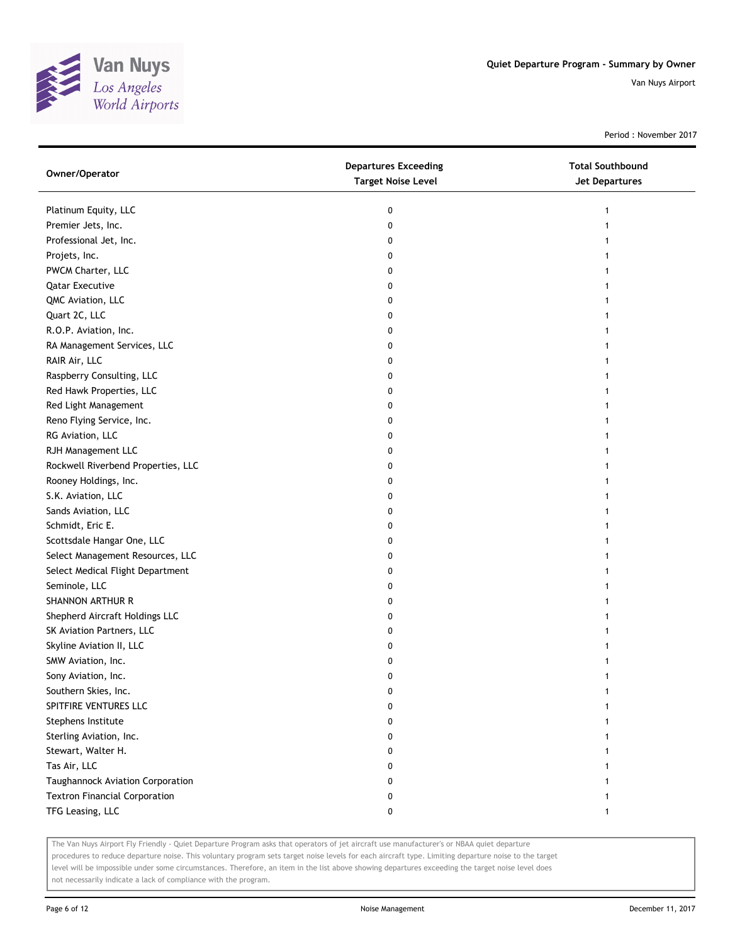

Period : November 2017

| Owner/Operator                       | <b>Departures Exceeding</b><br><b>Target Noise Level</b> | <b>Total Southbound</b><br><b>Jet Departures</b> |
|--------------------------------------|----------------------------------------------------------|--------------------------------------------------|
| Platinum Equity, LLC                 | 0                                                        | 1                                                |
| Premier Jets, Inc.                   | 0                                                        |                                                  |
| Professional Jet, Inc.               | 0                                                        |                                                  |
| Projets, Inc.                        | 0                                                        |                                                  |
| PWCM Charter, LLC                    | 0                                                        |                                                  |
| <b>Qatar Executive</b>               | 0                                                        |                                                  |
| QMC Aviation, LLC                    | 0                                                        |                                                  |
| Quart 2C, LLC                        | 0                                                        |                                                  |
| R.O.P. Aviation, Inc.                | 0                                                        |                                                  |
| RA Management Services, LLC          | 0                                                        |                                                  |
| RAIR Air, LLC                        | 0                                                        |                                                  |
| Raspberry Consulting, LLC            | 0                                                        |                                                  |
| Red Hawk Properties, LLC             | 0                                                        |                                                  |
| Red Light Management                 | 0                                                        |                                                  |
| Reno Flying Service, Inc.            | 0                                                        |                                                  |
| RG Aviation, LLC                     | 0                                                        |                                                  |
| RJH Management LLC                   | 0                                                        |                                                  |
| Rockwell Riverbend Properties, LLC   | 0                                                        |                                                  |
| Rooney Holdings, Inc.                | 0                                                        |                                                  |
| S.K. Aviation, LLC                   | 0                                                        |                                                  |
| Sands Aviation, LLC                  | 0                                                        |                                                  |
| Schmidt, Eric E.                     | 0                                                        |                                                  |
| Scottsdale Hangar One, LLC           | 0                                                        |                                                  |
| Select Management Resources, LLC     | 0                                                        |                                                  |
| Select Medical Flight Department     | 0                                                        |                                                  |
| Seminole, LLC                        | 0                                                        | 1                                                |
| SHANNON ARTHUR R                     | 0                                                        | 1                                                |
| Shepherd Aircraft Holdings LLC       | 0                                                        |                                                  |
| SK Aviation Partners, LLC            | 0                                                        |                                                  |
| Skyline Aviation II, LLC             | 0                                                        |                                                  |
| SMW Aviation, Inc.                   | 0                                                        |                                                  |
| Sony Aviation, Inc.                  | 0                                                        |                                                  |
| Southern Skies, Inc.                 | 0                                                        |                                                  |
| SPITFIRE VENTURES LLC                | 0                                                        |                                                  |
| Stephens Institute                   | o                                                        |                                                  |
| Sterling Aviation, Inc.              | 0                                                        |                                                  |
| Stewart, Walter H.                   | 0                                                        |                                                  |
| Tas Air, LLC                         | 0                                                        |                                                  |
| Taughannock Aviation Corporation     | 0                                                        |                                                  |
| <b>Textron Financial Corporation</b> | 0                                                        |                                                  |
| TFG Leasing, LLC                     | 0                                                        | 1                                                |

The Van Nuys Airport Fly Friendly - Quiet Departure Program asks that operators of jet aircraft use manufacturer's or NBAA quiet departure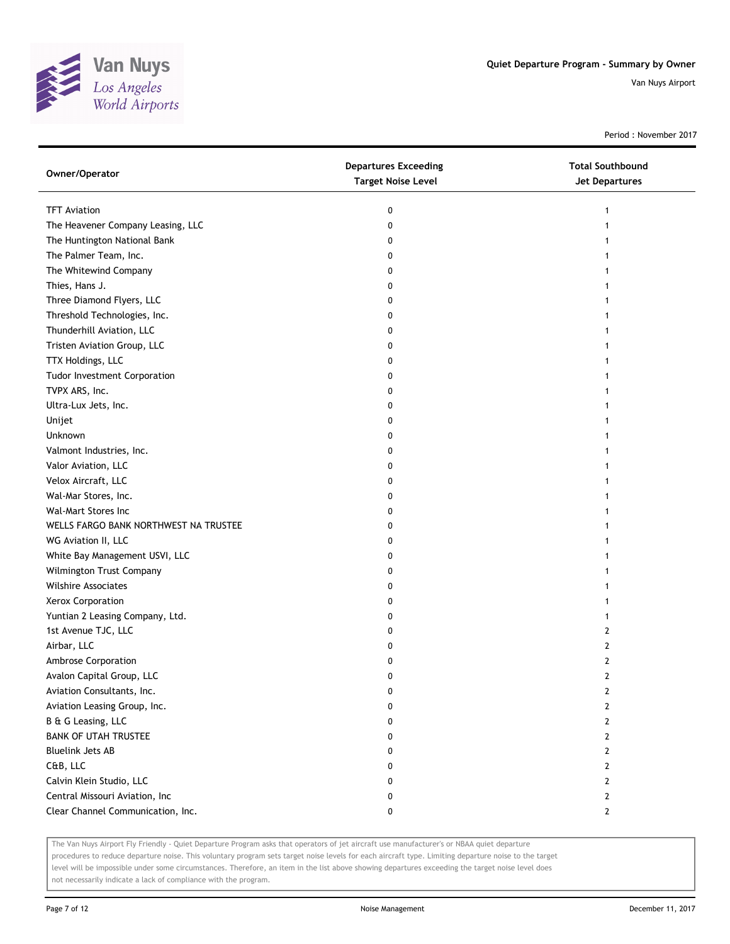

Period : November 2017

| Owner/Operator                        | <b>Departures Exceeding</b><br><b>Target Noise Level</b> | <b>Total Southbound</b><br><b>Jet Departures</b> |
|---------------------------------------|----------------------------------------------------------|--------------------------------------------------|
| <b>TFT Aviation</b>                   | 0                                                        | $\mathbf{1}$                                     |
| The Heavener Company Leasing, LLC     | 0                                                        | 1                                                |
| The Huntington National Bank          | 0                                                        | 1                                                |
| The Palmer Team, Inc.                 | 0                                                        | 1                                                |
| The Whitewind Company                 | 0                                                        | 1                                                |
| Thies, Hans J.                        | 0                                                        | 1                                                |
| Three Diamond Flyers, LLC             | 0                                                        | 1                                                |
| Threshold Technologies, Inc.          | 0                                                        | 1                                                |
| Thunderhill Aviation, LLC             | 0                                                        | 1                                                |
| Tristen Aviation Group, LLC           | 0                                                        | 1                                                |
| TTX Holdings, LLC                     | 0                                                        | 1                                                |
| Tudor Investment Corporation          | 0                                                        | 1                                                |
| TVPX ARS, Inc.                        | 0                                                        | 1                                                |
| Ultra-Lux Jets, Inc.                  | 0                                                        | 1                                                |
| Unijet                                | 0                                                        | 1                                                |
| Unknown                               | 0                                                        | 1                                                |
| Valmont Industries, Inc.              | 0                                                        | 1                                                |
| Valor Aviation, LLC                   | 0                                                        | 1                                                |
| Velox Aircraft, LLC                   | 0                                                        | 1                                                |
| Wal-Mar Stores, Inc.                  | 0                                                        | 1                                                |
| Wal-Mart Stores Inc                   | 0                                                        | 1                                                |
| WELLS FARGO BANK NORTHWEST NA TRUSTEE | 0                                                        | 1                                                |
| WG Aviation II, LLC                   | 0                                                        | 1                                                |
| White Bay Management USVI, LLC        | 0                                                        | 1                                                |
| Wilmington Trust Company              | 0                                                        | 1                                                |
| <b>Wilshire Associates</b>            | 0                                                        | 1                                                |
| Xerox Corporation                     | 0                                                        | 1                                                |
| Yuntian 2 Leasing Company, Ltd.       | 0                                                        | $\mathbf{1}$                                     |
| 1st Avenue TJC, LLC                   | 0                                                        | 2                                                |
| Airbar, LLC                           | 0                                                        | 2                                                |
| Ambrose Corporation                   | 0                                                        | 2                                                |
| Avalon Capital Group, LLC             | 0                                                        | 2                                                |
| Aviation Consultants, Inc.            | 0                                                        | 2                                                |
| Aviation Leasing Group, Inc.          | 0                                                        | 2                                                |
| B & G Leasing, LLC                    | 0                                                        | $\overline{2}$                                   |
| <b>BANK OF UTAH TRUSTEE</b>           | 0                                                        | $\overline{2}$                                   |
| <b>Bluelink Jets AB</b>               | 0                                                        | $\overline{2}$                                   |
| C&B, LLC                              | 0                                                        | $\overline{2}$                                   |
| Calvin Klein Studio, LLC              | 0                                                        | $\mathbf{2}$                                     |
| Central Missouri Aviation, Inc        | 0                                                        | $\mathbf{2}$                                     |
| Clear Channel Communication, Inc.     | 0                                                        | $\mathbf{2}$                                     |

The Van Nuys Airport Fly Friendly - Quiet Departure Program asks that operators of jet aircraft use manufacturer's or NBAA quiet departure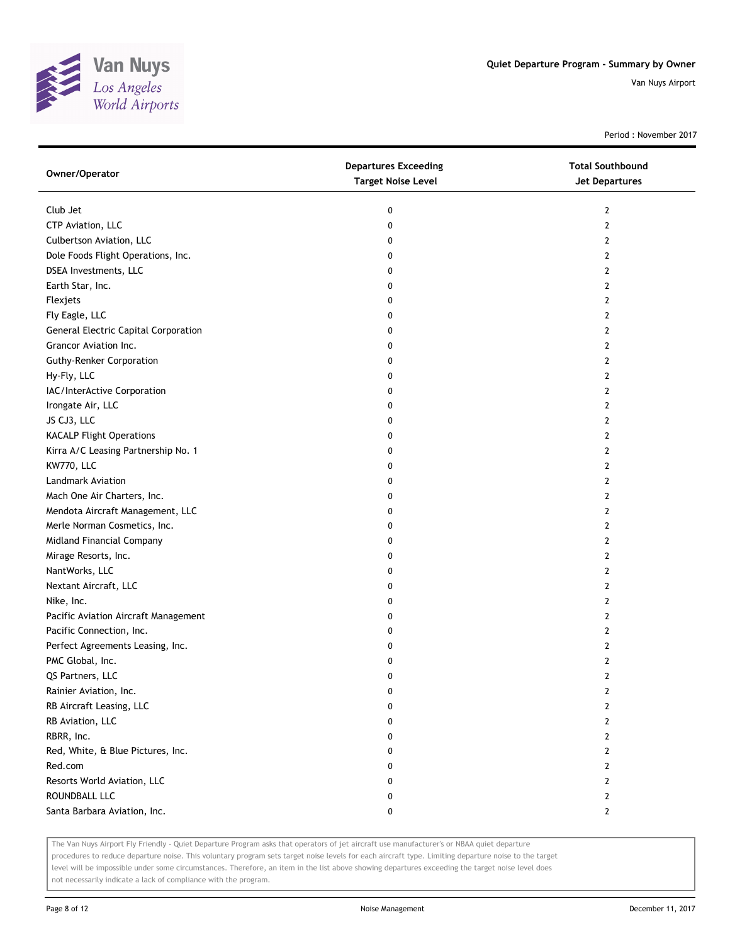

Period : November 2017

| Owner/Operator                       | <b>Departures Exceeding</b><br><b>Target Noise Level</b> | <b>Total Southbound</b><br><b>Jet Departures</b> |
|--------------------------------------|----------------------------------------------------------|--------------------------------------------------|
| Club Jet                             | 0                                                        | 2                                                |
| CTP Aviation, LLC                    | 0                                                        | $\overline{2}$                                   |
| Culbertson Aviation, LLC             | 0                                                        | $\overline{2}$                                   |
| Dole Foods Flight Operations, Inc.   | 0                                                        | $\mathbf{2}$                                     |
| DSEA Investments, LLC                | 0                                                        | $\overline{2}$                                   |
| Earth Star, Inc.                     | 0                                                        | $\mathbf{2}$                                     |
| Flexjets                             | 0                                                        | 2                                                |
| Fly Eagle, LLC                       | 0                                                        | $\overline{2}$                                   |
| General Electric Capital Corporation | 0                                                        | $\mathbf{2}$                                     |
| Grancor Aviation Inc.                | 0                                                        | $\overline{2}$                                   |
| <b>Guthy-Renker Corporation</b>      | 0                                                        | $\mathbf{2}$                                     |
| Hy-Fly, LLC                          | 0                                                        | $\mathbf{2}$                                     |
| IAC/InterActive Corporation          | 0                                                        | $\mathbf{2}$                                     |
| Irongate Air, LLC                    | 0                                                        | $\mathbf{2}$                                     |
| JS CJ3, LLC                          | 0                                                        | $\overline{2}$                                   |
| <b>KACALP Flight Operations</b>      | 0                                                        | $\mathbf{2}$                                     |
| Kirra A/C Leasing Partnership No. 1  | 0                                                        | 2                                                |
| KW770, LLC                           | 0                                                        | 2                                                |
| <b>Landmark Aviation</b>             | 0                                                        | 2                                                |
| Mach One Air Charters, Inc.          | 0                                                        | $\mathbf{2}$                                     |
| Mendota Aircraft Management, LLC     | 0                                                        | 2                                                |
| Merle Norman Cosmetics, Inc.         | 0                                                        | 2                                                |
| Midland Financial Company            | 0                                                        | 2                                                |
| Mirage Resorts, Inc.                 | 0                                                        | 2                                                |
| NantWorks, LLC                       | 0                                                        | 2                                                |
| Nextant Aircraft, LLC                | 0                                                        | $\overline{2}$                                   |
| Nike, Inc.                           | 0                                                        | 2                                                |
| Pacific Aviation Aircraft Management | 0                                                        | 2                                                |
| Pacific Connection, Inc.             | 0                                                        | $\overline{2}$                                   |
| Perfect Agreements Leasing, Inc.     | 0                                                        | $\mathbf{2}$                                     |
| PMC Global, Inc.                     | 0                                                        | 2                                                |
| QS Partners, LLC                     | 0                                                        | $\overline{2}$                                   |
| Rainier Aviation, Inc.               | 0                                                        | 2                                                |
| RB Aircraft Leasing, LLC             | 0                                                        | 2                                                |
| RB Aviation, LLC                     | 0                                                        | $\mathbf{2}$                                     |
| RBRR, Inc.                           | 0                                                        | $\mathbf{2}$                                     |
| Red, White, & Blue Pictures, Inc.    | 0                                                        | $\mathbf{2}$                                     |
| Red.com                              | 0                                                        | $\mathbf{2}$                                     |
| Resorts World Aviation, LLC          | 0                                                        | $\mathbf{2}$                                     |
| ROUNDBALL LLC                        | 0                                                        | $\mathbf{2}$                                     |
| Santa Barbara Aviation, Inc.         | 0                                                        | $\mathbf{2}$                                     |
|                                      |                                                          |                                                  |

The Van Nuys Airport Fly Friendly - Quiet Departure Program asks that operators of jet aircraft use manufacturer's or NBAA quiet departure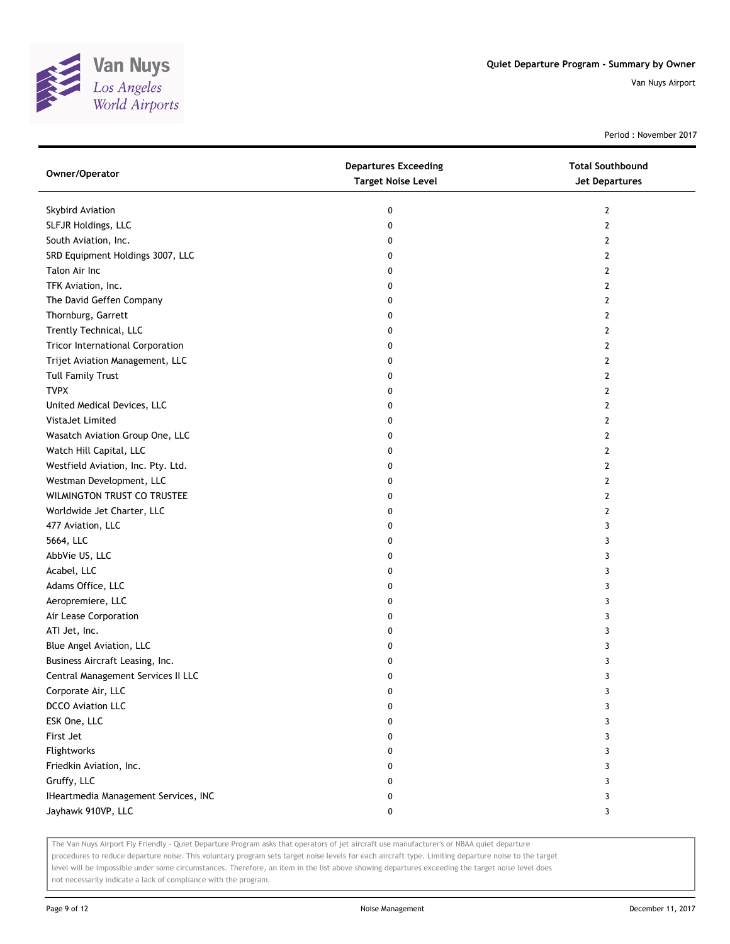

Period : November 2017

| Owner/Operator                          | <b>Departures Exceeding</b><br><b>Target Noise Level</b> | <b>Total Southbound</b><br><b>Jet Departures</b> |
|-----------------------------------------|----------------------------------------------------------|--------------------------------------------------|
| Skybird Aviation                        | 0                                                        | $\mathbf{2}$                                     |
| SLFJR Holdings, LLC                     | 0                                                        | 2                                                |
| South Aviation, Inc.                    | 0                                                        | 2                                                |
| SRD Equipment Holdings 3007, LLC        | 0                                                        | 2                                                |
| Talon Air Inc                           | 0                                                        | 2                                                |
| TFK Aviation, Inc.                      | 0                                                        | 2                                                |
| The David Geffen Company                | 0                                                        | 2                                                |
| Thornburg, Garrett                      | 0                                                        | 2                                                |
| Trently Technical, LLC                  | 0                                                        | 2                                                |
| <b>Tricor International Corporation</b> | 0                                                        | 2                                                |
| Trijet Aviation Management, LLC         | 0                                                        | 2                                                |
| <b>Tull Family Trust</b>                | 0                                                        | 2                                                |
| <b>TVPX</b>                             | 0                                                        | 2                                                |
| United Medical Devices, LLC             | 0                                                        | $\overline{2}$                                   |
| VistaJet Limited                        | 0                                                        | 2                                                |
| Wasatch Aviation Group One, LLC         | 0                                                        | $\mathbf{2}$                                     |
| Watch Hill Capital, LLC                 | 0                                                        | 2                                                |
| Westfield Aviation, Inc. Pty. Ltd.      | 0                                                        | 2                                                |
| Westman Development, LLC                | 0                                                        | $\mathbf{2}$                                     |
| WILMINGTON TRUST CO TRUSTEE             | 0                                                        | 2                                                |
| Worldwide Jet Charter, LLC              | 0                                                        | 2                                                |
| 477 Aviation, LLC                       | 0                                                        | 3                                                |
| 5664, LLC                               | 0                                                        | 3                                                |
| AbbVie US, LLC                          | 0                                                        | 3                                                |
| Acabel, LLC                             | 0                                                        | 3                                                |
| Adams Office, LLC                       | 0                                                        | 3                                                |
| Aeropremiere, LLC                       | 0                                                        | 3                                                |
| Air Lease Corporation                   | 0                                                        | 3                                                |
| ATI Jet, Inc.                           | 0                                                        | 3                                                |
| Blue Angel Aviation, LLC                | 0                                                        | 3                                                |
| Business Aircraft Leasing, Inc.         | 0                                                        | 3                                                |
| Central Management Services II LLC      | 0                                                        | 3                                                |
| Corporate Air, LLC                      | U                                                        | 3                                                |
| <b>DCCO</b> Aviation LLC                | 0                                                        | 3                                                |
| ESK One, LLC                            | 0                                                        | 3                                                |
| First Jet                               | 0                                                        | 3                                                |
| Flightworks                             | 0                                                        | 3                                                |
| Friedkin Aviation, Inc.                 | 0                                                        | 3                                                |
| Gruffy, LLC                             | 0                                                        | 3                                                |
| IHeartmedia Management Services, INC    | 0                                                        | 3                                                |
| Jayhawk 910VP, LLC                      | 0                                                        | 3                                                |

The Van Nuys Airport Fly Friendly - Quiet Departure Program asks that operators of jet aircraft use manufacturer's or NBAA quiet departure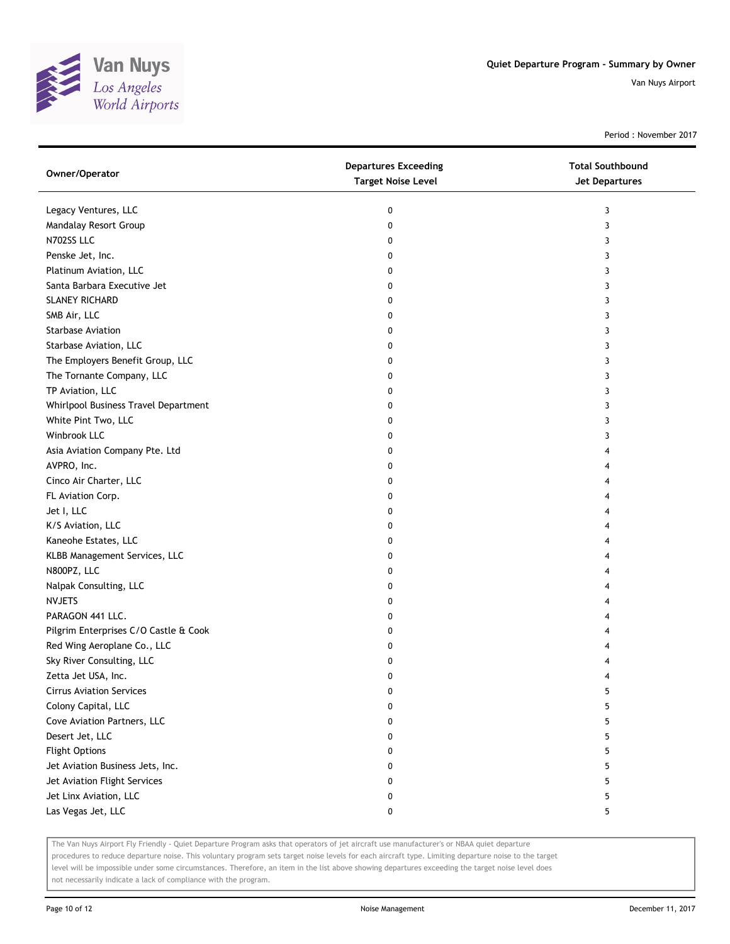

Period : November 2017

| Owner/Operator                        | <b>Departures Exceeding</b><br><b>Target Noise Level</b> | <b>Total Southbound</b><br><b>Jet Departures</b> |
|---------------------------------------|----------------------------------------------------------|--------------------------------------------------|
| Legacy Ventures, LLC                  | 0                                                        | 3                                                |
| Mandalay Resort Group                 | 0                                                        | 3                                                |
| N702SS LLC                            | 0                                                        | 3                                                |
| Penske Jet, Inc.                      | 0                                                        | 3                                                |
| Platinum Aviation, LLC                | 0                                                        | 3                                                |
| Santa Barbara Executive Jet           | 0                                                        | 3                                                |
| <b>SLANEY RICHARD</b>                 | 0                                                        | 3                                                |
| SMB Air, LLC                          | 0                                                        | 3                                                |
| Starbase Aviation                     | 0                                                        | 3                                                |
| Starbase Aviation, LLC                | 0                                                        | 3                                                |
| The Employers Benefit Group, LLC      | 0                                                        | 3                                                |
| The Tornante Company, LLC             | 0                                                        | 3                                                |
| TP Aviation, LLC                      | 0                                                        | 3                                                |
| Whirlpool Business Travel Department  | 0                                                        | 3                                                |
| White Pint Two, LLC                   | 0                                                        | 3                                                |
| Winbrook LLC                          | 0                                                        | 3                                                |
| Asia Aviation Company Pte. Ltd        | 0                                                        | 4                                                |
| AVPRO, Inc.                           | 0                                                        | 4                                                |
| Cinco Air Charter, LLC                | 0                                                        | 4                                                |
| FL Aviation Corp.                     | 0                                                        | 4                                                |
| Jet I, LLC                            | 0                                                        | 4                                                |
| K/S Aviation, LLC                     | 0                                                        | 4                                                |
| Kaneohe Estates, LLC                  | 0                                                        | 4                                                |
| KLBB Management Services, LLC         | 0                                                        | 4                                                |
| N800PZ, LLC                           | 0                                                        | 4                                                |
| Nalpak Consulting, LLC                | 0                                                        | 4                                                |
| <b>NVJETS</b>                         | 0                                                        | 4                                                |
| PARAGON 441 LLC.                      | 0                                                        | 4                                                |
| Pilgrim Enterprises C/O Castle & Cook | 0                                                        | 4                                                |
| Red Wing Aeroplane Co., LLC           | 0                                                        | 4                                                |
| Sky River Consulting, LLC             | 0                                                        | 4                                                |
| Zetta Jet USA, Inc.                   | 0                                                        | 4                                                |
| <b>Cirrus Aviation Services</b>       | 0                                                        | 5                                                |
| Colony Capital, LLC                   | 0                                                        | 5                                                |
| Cove Aviation Partners, LLC           | 0                                                        | 5                                                |
| Desert Jet, LLC                       | 0                                                        | 5                                                |
| <b>Flight Options</b>                 | 0                                                        | 5                                                |
| Jet Aviation Business Jets, Inc.      | 0                                                        | 5                                                |
| Jet Aviation Flight Services          | 0                                                        | 5                                                |
| Jet Linx Aviation, LLC                | 0                                                        | 5                                                |
| Las Vegas Jet, LLC                    | 0                                                        | 5                                                |

The Van Nuys Airport Fly Friendly - Quiet Departure Program asks that operators of jet aircraft use manufacturer's or NBAA quiet departure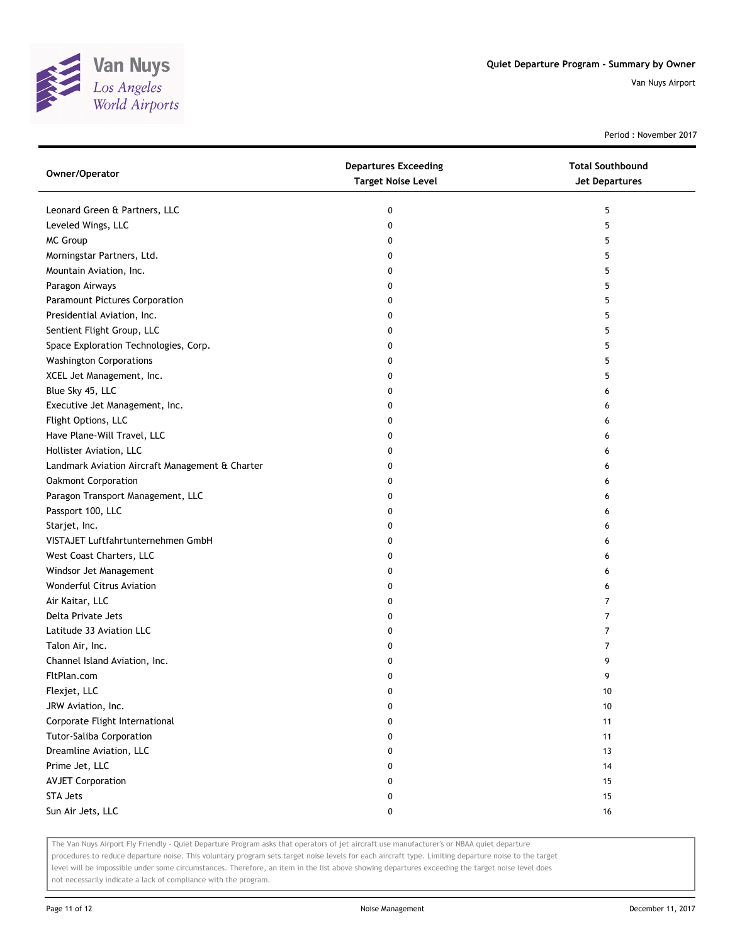

Period : November 2017

| Owner/Operator                                  | <b>Departures Exceeding</b><br><b>Target Noise Level</b> | <b>Total Southbound</b><br>Jet Departures |
|-------------------------------------------------|----------------------------------------------------------|-------------------------------------------|
| Leonard Green & Partners, LLC                   | 0                                                        | 5                                         |
| Leveled Wings, LLC                              | 0                                                        | 5                                         |
| MC Group                                        | 0                                                        | 5                                         |
| Morningstar Partners, Ltd.                      | 0                                                        | 5                                         |
| Mountain Aviation, Inc.                         | 0                                                        | 5                                         |
| Paragon Airways                                 | 0                                                        | 5                                         |
| Paramount Pictures Corporation                  | 0                                                        | 5                                         |
| Presidential Aviation, Inc.                     | 0                                                        | 5                                         |
| Sentient Flight Group, LLC                      | 0                                                        | 5                                         |
| Space Exploration Technologies, Corp.           | 0                                                        | 5                                         |
| <b>Washington Corporations</b>                  | 0                                                        | 5                                         |
| XCEL Jet Management, Inc.                       | 0                                                        | 5                                         |
| Blue Sky 45, LLC                                | 0                                                        | 6                                         |
| Executive Jet Management, Inc.                  | 0                                                        | 6                                         |
| Flight Options, LLC                             | 0                                                        | 6                                         |
| Have Plane-Will Travel, LLC                     | 0                                                        | 6                                         |
| Hollister Aviation, LLC                         | 0                                                        | 6                                         |
| Landmark Aviation Aircraft Management & Charter | 0                                                        | 6                                         |
| Oakmont Corporation                             | 0                                                        | 6                                         |
| Paragon Transport Management, LLC               | 0                                                        | 6                                         |
| Passport 100, LLC                               | 0                                                        | 6                                         |
| Starjet, Inc.                                   | 0                                                        | 6                                         |
| VISTAJET Luftfahrtunternehmen GmbH              | 0                                                        | 6                                         |
| West Coast Charters, LLC                        | 0                                                        | 6                                         |
| Windsor Jet Management                          | 0                                                        | 6                                         |
| Wonderful Citrus Aviation                       | 0                                                        | 6                                         |
| Air Kaitar, LLC                                 | 0                                                        | 7                                         |
| Delta Private Jets                              | 0                                                        | 7                                         |
| Latitude 33 Aviation LLC                        | 0                                                        | 7                                         |
| Talon Air, Inc.                                 | 0                                                        | 7                                         |
| Channel Island Aviation, Inc.                   | 0                                                        | 9                                         |
| FltPlan.com                                     | 0                                                        | 9                                         |
| Flexjet, LLC                                    | 0                                                        | 10                                        |
| JRW Aviation, Inc.                              | 0                                                        | 10                                        |
| Corporate Flight International                  | 0                                                        | 11                                        |
| <b>Tutor-Saliba Corporation</b>                 | 0                                                        | 11                                        |
| Dreamline Aviation, LLC                         | 0                                                        | 13                                        |
| Prime Jet, LLC                                  | 0                                                        | 14                                        |
| <b>AVJET Corporation</b>                        | 0                                                        | 15                                        |
| <b>STA Jets</b>                                 | 0                                                        | 15                                        |
| Sun Air Jets, LLC                               | 0                                                        | $16\,$                                    |

The Van Nuys Airport Fly Friendly - Quiet Departure Program asks that operators of jet aircraft use manufacturer's or NBAA quiet departure